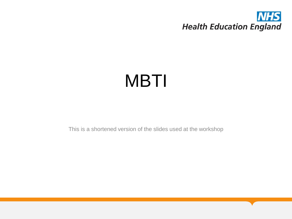

# MBTI

This is a shortened version of the slides used at the workshop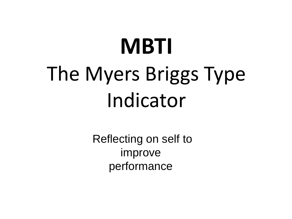# **MBTI** The Myers Briggs Type Indicator

Reflecting on self to improve performance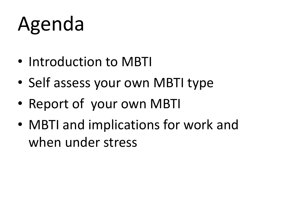# Agenda

- Introduction to MBTI
- Self assess your own MBTI type
- Report of your own MBTI
- MBTI and implications for work and when under stress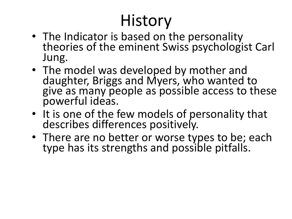# **History**

- The Indicator is based on the personality theories of the eminent Swiss psychologist Carl Jung.
- The model was developed by mother and daughter, Briggs and Myers, who wanted to give as many people as possible access to these powerful ideas.
- It is one of the few models of personality that describes differences positively.
- There are no better or worse types to be; each type has its strengths and possible pitfalls.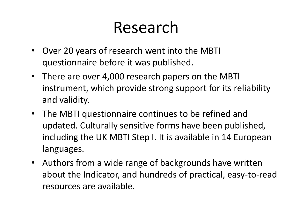# Research

- Over 20 years of research went into the MBTI questionnaire before it was published.
- There are over 4,000 research papers on the MBTI instrument, which provide strong support for its reliability and validity.
- The MBTI questionnaire continues to be refined and updated. Culturally sensitive forms have been published, including the UK MBTI Step I. It is available in 14 European languages.
- Authors from a wide range of backgrounds have written about the Indicator, and hundreds of practical, easy-to-read resources are available.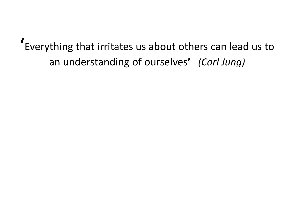**'**Everything that irritates us about others can lead us to an understanding of ourselves**'** *(Carl Jung)*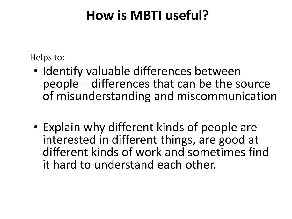### **How is MBTI useful?**

Helps to:

- Identify valuable differences between people – differences that can be the source of misunderstanding and miscommunication
- Explain why different kinds of people are interested in different things, are good at different kinds of work and sometimes find it hard to understand each other.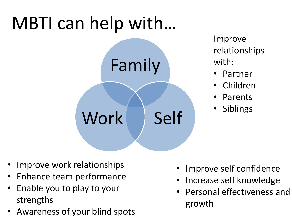# MBTI can help with…



Improve relationships with:

- Partner
- Children
- Parents
- Siblings

- Improve work relationships
- Enhance team performance
- Enable you to play to your strengths
- Awareness of your blind spots
- Improve self confidence
- Increase self knowledge
- Personal effectiveness and growth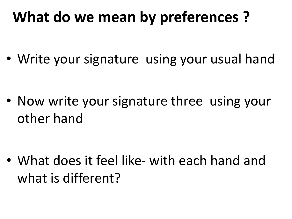# **What do we mean by preferences ?**

• Write your signature using your usual hand

• Now write your signature three using your other hand

• What does it feel like- with each hand and what is different?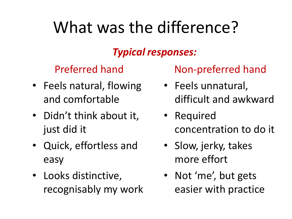# What was the difference?

### *Typical responses:*

Preferred hand

- Feels natural, flowing and comfortable
- Didn't think about it, just did it
- Quick, effortless and easy
- Looks distinctive, recognisably my work

Non-preferred hand

- Feels unnatural, difficult and awkward
- Required concentration to do it
- Slow, jerky, takes more effort
- Not 'me', but gets easier with practice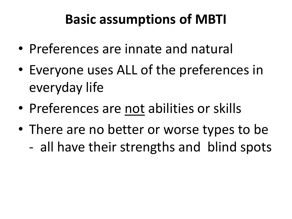### **Basic assumptions of MBTI**

- Preferences are innate and natural
- Everyone uses ALL of the preferences in everyday life
- Preferences are not abilities or skills
- There are no better or worse types to be - all have their strengths and blind spots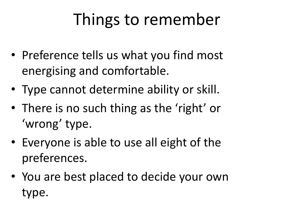# Things to remember

- Preference tells us what you find most energising and comfortable.
- Type cannot determine ability or skill.
- There is no such thing as the 'right' or 'wrong' type.
- Everyone is able to use all eight of the preferences.
- You are best placed to decide your own type.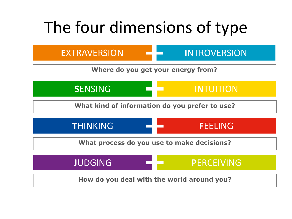# The four dimensions of type

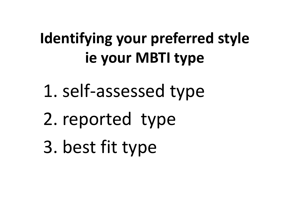# **Identifying your preferred style ie your MBTI type**

- 1. self-assessed type
- 2. reported type
- 3. best fit type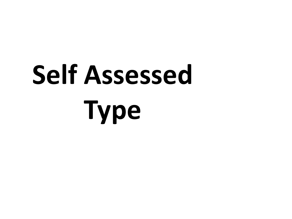# **Self Assessed Type**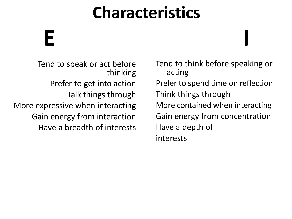# **E I**

Tend to speak or act before thinking Prefer to get into action Talk things through More expressive when interacting Gain energy from interaction Have a breadth of interests

Tend to think before speaking or acting Prefer to spend time on reflection Think things through More contained when interacting Gain energy from concentration Have a depth of interests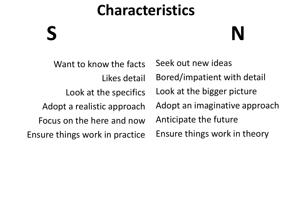# **S N**

Want to know the facts Likes detail Look at the specifics Adopt a realistic approach Focus on the here and now Ensure things work in practice

Seek out new ideas Bored/impatient with detail Look at the bigger picture Adopt an imaginative approach Anticipate the future Ensure things work in theory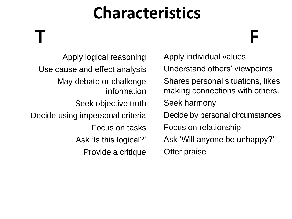**T F**

Apply logical reasoning Use cause and effect analysis May debate or challenge information Seek objective truth Decide using impersonal criteria Focus on tasks Ask 'Is this logical?' Provide a critique • Apply individual values Understand others' viewpoints • Shares personal situations, likes making connections with others. Seek harmony Decide by personal circumstances • Focus on relationship • Ask 'Will anyone be unhappy?' • Offer praise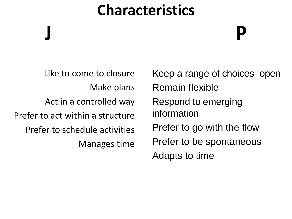**J P**

Like to come to closure Make plans Act in a controlled way Prefer to act within a structure Prefer to schedule activities Manages time

Keep a range of choices open Remain flexible Respond to emerging information Prefer to go with the flow Prefer to be spontaneous Adapts to time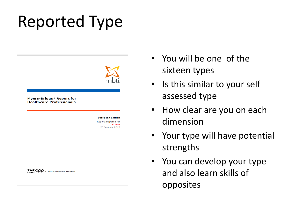# Reported Type



#### EXCOOP OPP Ltd. | +44 (0)845 603 9958 | www.opp.com

- You will be one of the sixteen types
- Is this similar to your self assessed type
- How clear are you on each dimension
- Your type will have potential strengths
- You can develop your type and also learn skills of opposites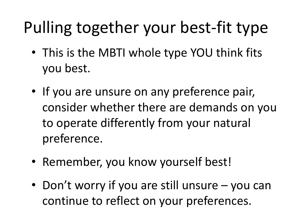# Pulling together your best-fit type

- This is the MBTI whole type YOU think fits you best.
- If you are unsure on any preference pair, consider whether there are demands on you to operate differently from your natural preference.
- Remember, you know yourself best!
- Don't worry if you are still unsure you can continue to reflect on your preferences.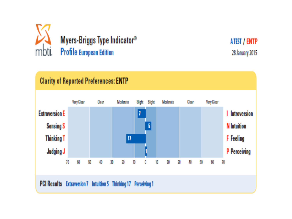

ATEST / ENTP 28 January 2015

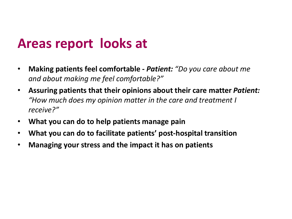### **Areas report looks at**

- **Making patients feel comfortable -** *Patient: "Do you care about me and about making me feel comfortable?"*
- **Assuring patients that their opinions about their care matter** *Patient: "How much does my opinion matter in the care and treatment I receive?"*
- **What you can do to help patients manage pain**
- **What you can do to facilitate patients' post-hospital transition**
- **Managing your stress and the impact it has on patients**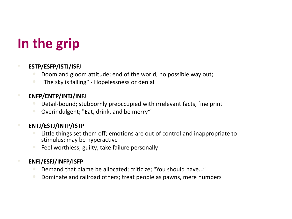## **In the grip**

#### • **ESTP/ESFP/ISTJ/ISFJ**

- Doom and gloom attitude; end of the world, no possible way out;
- "The sky is falling" Hopelessness or denial

### • **ENFP/ENTP/INTJ/INFJ**

- Detail-bound; stubbornly preoccupied with irrelevant facts, fine print
- Overindulgent; "Eat, drink, and be merry"

### • **ENTJ/ESTJ/INTP/ISTP**

- Little things set them off; emotions are out of control and inappropriate to stimulus; may be hyperactive
- Feel worthless, guilty; take failure personally

### • **ENFJ/ESFJ/INFP/ISFP**

- Demand that blame be allocated; criticize; "You should have..."
- Dominate and railroad others; treat people as pawns, mere numbers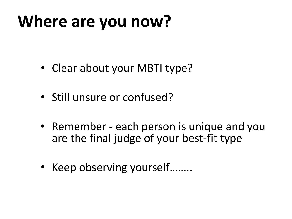# **Where are you now?**

- Clear about your MBTI type?
- Still unsure or confused?
- Remember each person is unique and you are the final judge of your best-fit type
- Keep observing yourself........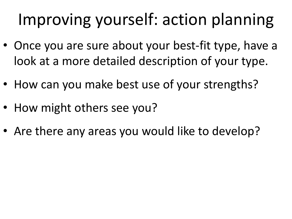# Improving yourself: action planning

- Once you are sure about your best-fit type, have a look at a more detailed description of your type.
- How can you make best use of your strengths?
- How might others see you?
- Are there any areas you would like to develop?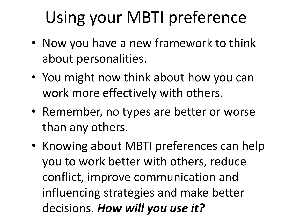# Using your MBTI preference

- Now you have a new framework to think about personalities.
- You might now think about how you can work more effectively with others.
- Remember, no types are better or worse than any others.
- Knowing about MBTI preferences can help you to work better with others, reduce conflict, improve communication and influencing strategies and make better decisions. *How will you use it?*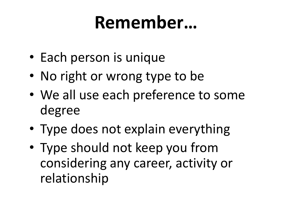# **Remember…**

- Each person is unique
- No right or wrong type to be
- We all use each preference to some degree
- Type does not explain everything
- Type should not keep you from considering any career, activity or relationship